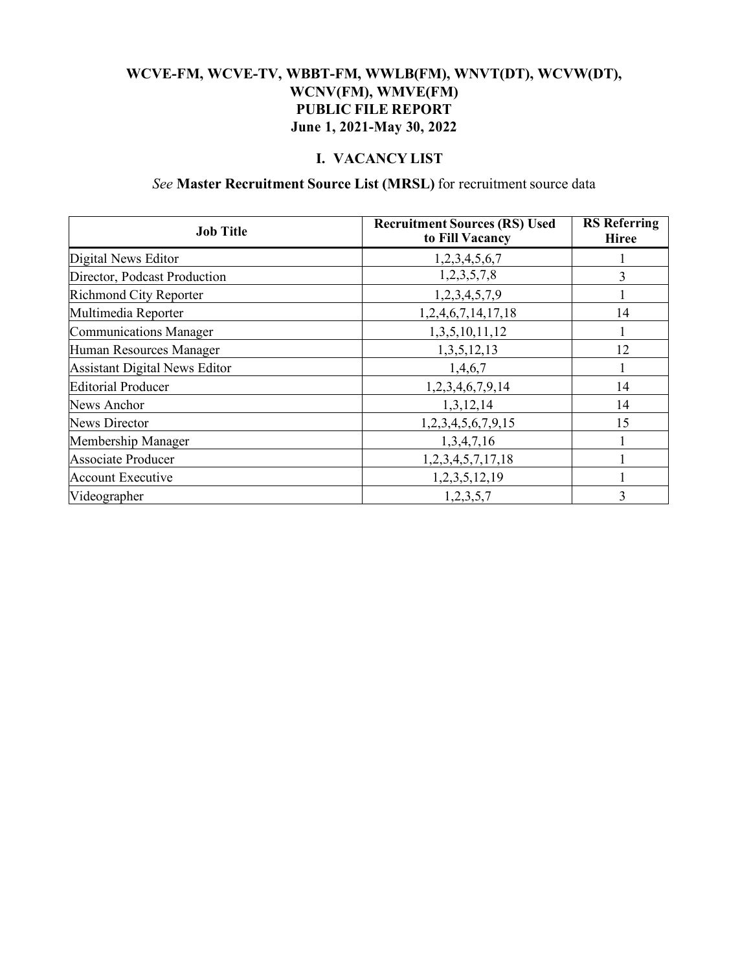#### **WCVE-FM, WCVE-TV, WBBT-FM, WWLB(FM), WNVT(DT), WCVW(DT), WCNV(FM), WMVE(FM) PUBLIC FILE REPORT June 1, 2021-May 30, 2022**

## **I. VACANCY LIST**

#### *See* **Master Recruitment Source List (MRSL)** for recruitment source data

| <b>Job Title</b>                     | <b>Recruitment Sources (RS) Used</b><br>to Fill Vacancy | <b>RS</b> Referring<br><b>Hiree</b> |
|--------------------------------------|---------------------------------------------------------|-------------------------------------|
| Digital News Editor                  | 1,2,3,4,5,6,7                                           |                                     |
| Director, Podcast Production         | 1,2,3,5,7,8                                             | 3                                   |
| <b>Richmond City Reporter</b>        | 1,2,3,4,5,7,9                                           |                                     |
| Multimedia Reporter                  | 1,2,4,6,7,14,17,18                                      | 14                                  |
| <b>Communications Manager</b>        | 1,3,5,10,11,12                                          |                                     |
| Human Resources Manager              | 1, 3, 5, 12, 13                                         | 12                                  |
| <b>Assistant Digital News Editor</b> | 1,4,6,7                                                 |                                     |
| <b>Editorial Producer</b>            | 1,2,3,4,6,7,9,14                                        | 14                                  |
| News Anchor                          | 1,3,12,14                                               | 14                                  |
| News Director                        | 1,2,3,4,5,6,7,9,15                                      | 15                                  |
| Membership Manager                   | 1,3,4,7,16                                              |                                     |
| <b>Associate Producer</b>            | 1,2,3,4,5,7,17,18                                       |                                     |
| <b>Account Executive</b>             | 1,2,3,5,12,19                                           |                                     |
| Videographer                         | 1,2,3,5,7                                               | 3                                   |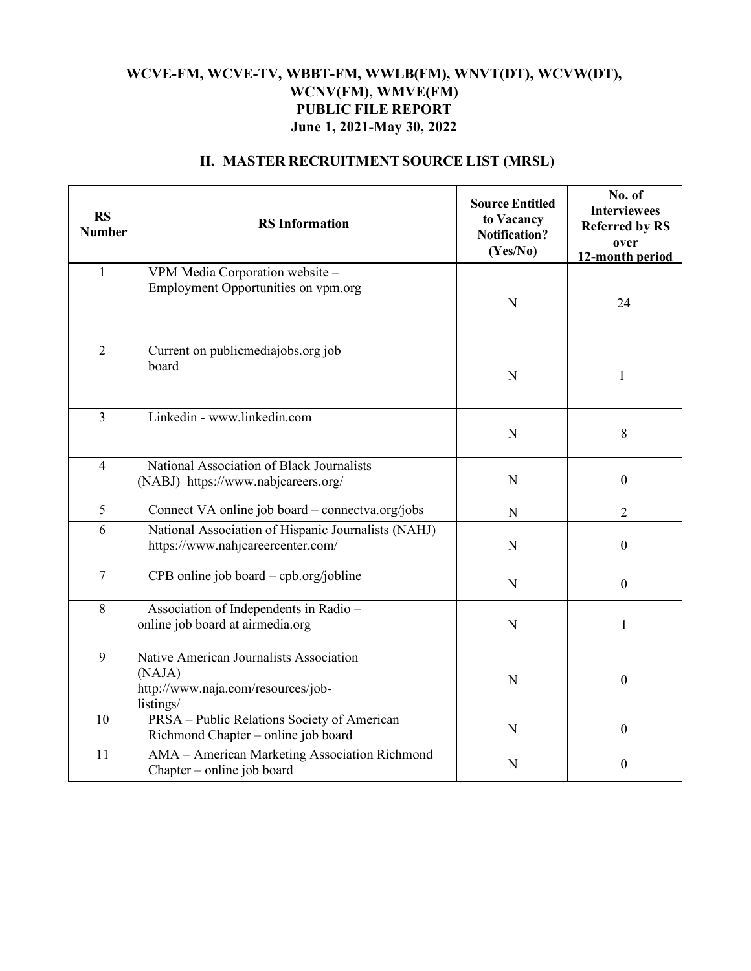## **WCVE-FM, WCVE-TV, WBBT-FM, WWLB(FM), WNVT(DT), WCVW(DT), WCNV(FM), WMVE(FM) PUBLIC FILE REPORT June 1, 2021-May 30, 2022**

| <b>RS</b><br><b>Number</b> | <b>RS</b> Information                                                                                | <b>Source Entitled</b><br>to Vacancy<br><b>Notification?</b><br>(Yes/No) | No. of<br><b>Interviewees</b><br><b>Referred by RS</b><br>over<br>12-month period |
|----------------------------|------------------------------------------------------------------------------------------------------|--------------------------------------------------------------------------|-----------------------------------------------------------------------------------|
| $\mathbf{1}$               | VPM Media Corporation website -<br>Employment Opportunities on vpm.org                               | N                                                                        | 24                                                                                |
| $\overline{2}$             | Current on publicmediajobs.org job<br>board                                                          | $\mathbf N$                                                              | 1                                                                                 |
| 3                          | Linkedin - www.linkedin.com                                                                          | $\mathbf N$                                                              | $8\,$                                                                             |
| $\overline{4}$             | National Association of Black Journalists<br>(NABJ) https://www.nabjcareers.org/                     | N                                                                        | $\mathbf{0}$                                                                      |
| 5                          | Connect VA online job board – connectva.org/jobs                                                     | N                                                                        | $\overline{2}$                                                                    |
| 6                          | National Association of Hispanic Journalists (NAHJ)<br>https://www.nahjcareercenter.com/             | N                                                                        | $\boldsymbol{0}$                                                                  |
| $\overline{7}$             | CPB online job board - cpb.org/jobline                                                               | $\mathbf N$                                                              | $\boldsymbol{0}$                                                                  |
| 8                          | Association of Independents in Radio -<br>online job board at airmedia.org                           | $\mathbf N$                                                              | $\mathbf{1}$                                                                      |
| 9                          | Native American Journalists Association<br>(NAJA)<br>http://www.naja.com/resources/job-<br>listings/ | N                                                                        | $\boldsymbol{0}$                                                                  |
| 10                         | PRSA - Public Relations Society of American<br>Richmond Chapter - online job board                   | N                                                                        | $\mathbf{0}$                                                                      |
| 11                         | AMA - American Marketing Association Richmond<br>Chapter – online job board                          | N                                                                        | $\boldsymbol{0}$                                                                  |

## **II. MASTER RECRUITMENTSOURCE LIST (MRSL)**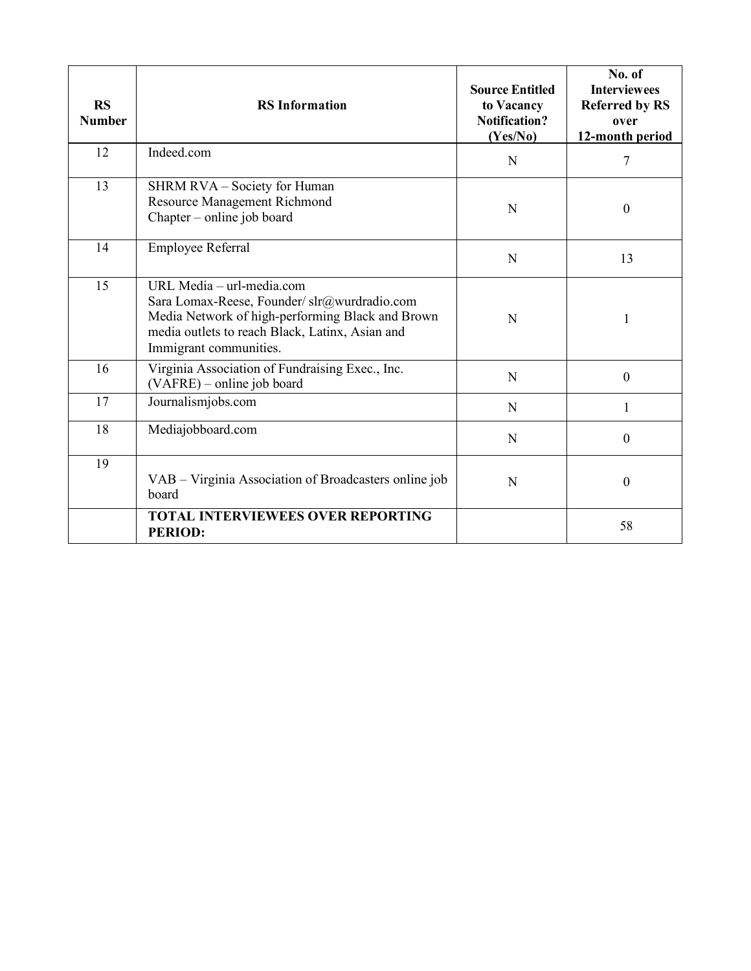| <b>RS</b><br><b>Number</b> | <b>RS</b> Information                                                                                                                                                                                      | <b>Source Entitled</b><br>to Vacancy<br><b>Notification?</b><br>(Yes/No) | No. of<br><b>Interviewees</b><br><b>Referred by RS</b><br>over<br>12-month period |
|----------------------------|------------------------------------------------------------------------------------------------------------------------------------------------------------------------------------------------------------|--------------------------------------------------------------------------|-----------------------------------------------------------------------------------|
| 12                         | Indeed.com                                                                                                                                                                                                 | N                                                                        | 7                                                                                 |
| 13                         | SHRM RVA – Society for Human<br>Resource Management Richmond<br>Chapter – online job board                                                                                                                 | N                                                                        | $\boldsymbol{0}$                                                                  |
| 14                         | Employee Referral                                                                                                                                                                                          | N                                                                        | 13                                                                                |
| 15                         | URL Media - url-media.com<br>Sara Lomax-Reese, Founder/ slr@wurdradio.com<br>Media Network of high-performing Black and Brown<br>media outlets to reach Black, Latinx, Asian and<br>Immigrant communities. | N                                                                        | 1                                                                                 |
| 16                         | Virginia Association of Fundraising Exec., Inc.<br>(VAFRE) – online job board                                                                                                                              | N                                                                        | $\theta$                                                                          |
| 17                         | Journalismjobs.com                                                                                                                                                                                         | N                                                                        | 1                                                                                 |
| 18                         | Mediajobboard.com                                                                                                                                                                                          | N                                                                        | $\theta$                                                                          |
| 19                         | VAB – Virginia Association of Broadcasters online job<br>board                                                                                                                                             | N                                                                        | $\boldsymbol{0}$                                                                  |
|                            | <b>TOTAL INTERVIEWEES OVER REPORTING</b><br><b>PERIOD:</b>                                                                                                                                                 |                                                                          | 58                                                                                |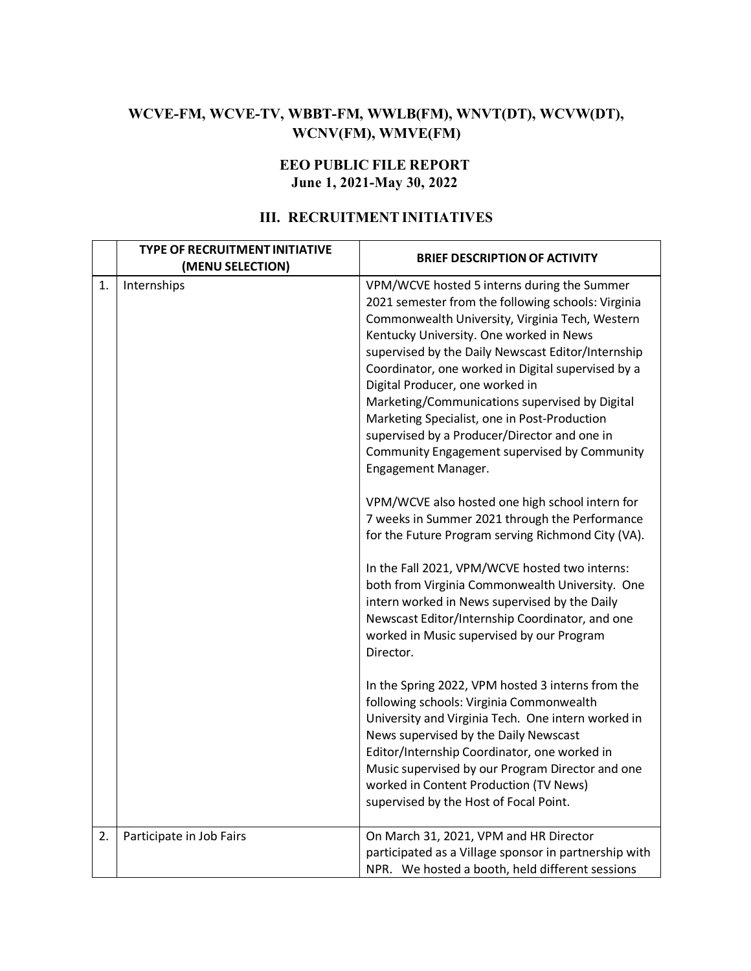# **WCVE-FM, WCVE-TV, WBBT-FM, WWLB(FM), WNVT(DT), WCVW(DT), WCNV(FM), WMVE(FM)**

#### **EEO PUBLIC FILE REPORT June 1, 2021-May 30, 2022**

## **III. RECRUITMENT INITIATIVES**

|    | <b>TYPE OF RECRUITMENT INITIATIVE</b><br>(MENU SELECTION) | <b>BRIEF DESCRIPTION OF ACTIVITY</b>                                                                                                                                                                                                                                                                                                                                                                                                                                                                                                                                                                                                                                                                                                                                                                                                                                                                                                                                                                                                                                                                                                                                                                                                                                                                                                                                                          |
|----|-----------------------------------------------------------|-----------------------------------------------------------------------------------------------------------------------------------------------------------------------------------------------------------------------------------------------------------------------------------------------------------------------------------------------------------------------------------------------------------------------------------------------------------------------------------------------------------------------------------------------------------------------------------------------------------------------------------------------------------------------------------------------------------------------------------------------------------------------------------------------------------------------------------------------------------------------------------------------------------------------------------------------------------------------------------------------------------------------------------------------------------------------------------------------------------------------------------------------------------------------------------------------------------------------------------------------------------------------------------------------------------------------------------------------------------------------------------------------|
| 1. | Internships                                               | VPM/WCVE hosted 5 interns during the Summer<br>2021 semester from the following schools: Virginia<br>Commonwealth University, Virginia Tech, Western<br>Kentucky University. One worked in News<br>supervised by the Daily Newscast Editor/Internship<br>Coordinator, one worked in Digital supervised by a<br>Digital Producer, one worked in<br>Marketing/Communications supervised by Digital<br>Marketing Specialist, one in Post-Production<br>supervised by a Producer/Director and one in<br>Community Engagement supervised by Community<br>Engagement Manager.<br>VPM/WCVE also hosted one high school intern for<br>7 weeks in Summer 2021 through the Performance<br>for the Future Program serving Richmond City (VA).<br>In the Fall 2021, VPM/WCVE hosted two interns:<br>both from Virginia Commonwealth University. One<br>intern worked in News supervised by the Daily<br>Newscast Editor/Internship Coordinator, and one<br>worked in Music supervised by our Program<br>Director.<br>In the Spring 2022, VPM hosted 3 interns from the<br>following schools: Virginia Commonwealth<br>University and Virginia Tech. One intern worked in<br>News supervised by the Daily Newscast<br>Editor/Internship Coordinator, one worked in<br>Music supervised by our Program Director and one<br>worked in Content Production (TV News)<br>supervised by the Host of Focal Point. |
| 2. | Participate in Job Fairs                                  | On March 31, 2021, VPM and HR Director<br>participated as a Village sponsor in partnership with<br>NPR. We hosted a booth, held different sessions                                                                                                                                                                                                                                                                                                                                                                                                                                                                                                                                                                                                                                                                                                                                                                                                                                                                                                                                                                                                                                                                                                                                                                                                                                            |